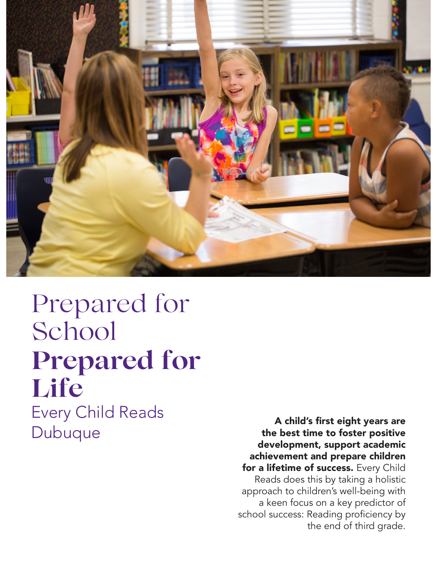

## Prepared for School **Prepared for Life** Every Child Reads Dubuque A child's first eight years are the best time to foster positive

development, support academic achievement and prepare children for a lifetime of success. Every Child Reads does this by taking a holistic approach to children's well-being with a keen focus on a key predictor of school success: Reading proficiency by the end of third grade.